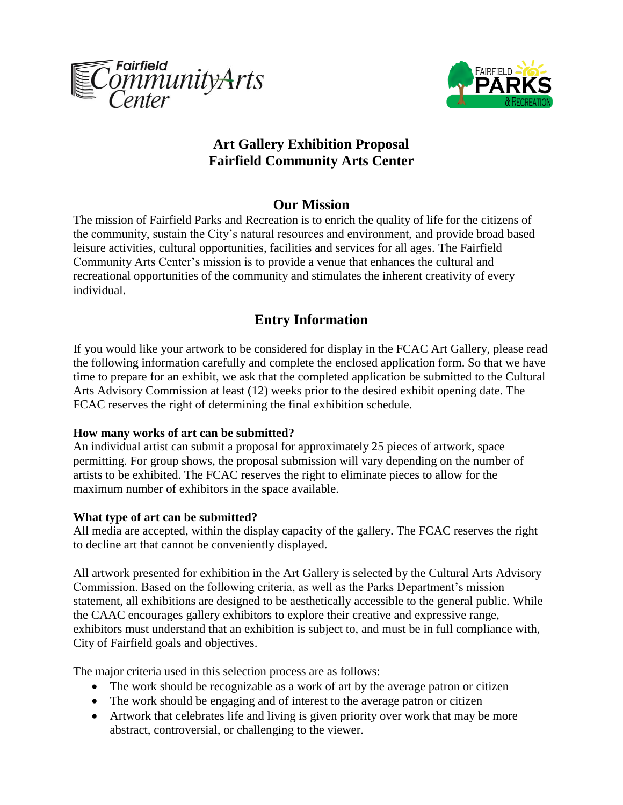



## **Art Gallery Exhibition Proposal Fairfield Community Arts Center**

## **Our Mission**

The mission of Fairfield Parks and Recreation is to enrich the quality of life for the citizens of the community, sustain the City's natural resources and environment, and provide broad based leisure activities, cultural opportunities, facilities and services for all ages. The Fairfield Community Arts Center's mission is to provide a venue that enhances the cultural and recreational opportunities of the community and stimulates the inherent creativity of every individual.

# **Entry Information**

If you would like your artwork to be considered for display in the FCAC Art Gallery, please read the following information carefully and complete the enclosed application form. So that we have time to prepare for an exhibit, we ask that the completed application be submitted to the Cultural Arts Advisory Commission at least (12) weeks prior to the desired exhibit opening date. The FCAC reserves the right of determining the final exhibition schedule.

### **How many works of art can be submitted?**

An individual artist can submit a proposal for approximately 25 pieces of artwork, space permitting. For group shows, the proposal submission will vary depending on the number of artists to be exhibited. The FCAC reserves the right to eliminate pieces to allow for the maximum number of exhibitors in the space available.

### **What type of art can be submitted?**

All media are accepted, within the display capacity of the gallery. The FCAC reserves the right to decline art that cannot be conveniently displayed.

All artwork presented for exhibition in the Art Gallery is selected by the Cultural Arts Advisory Commission. Based on the following criteria, as well as the Parks Department's mission statement, all exhibitions are designed to be aesthetically accessible to the general public. While the CAAC encourages gallery exhibitors to explore their creative and expressive range, exhibitors must understand that an exhibition is subject to, and must be in full compliance with, City of Fairfield goals and objectives.

The major criteria used in this selection process are as follows:

- The work should be recognizable as a work of art by the average patron or citizen
- The work should be engaging and of interest to the average patron or citizen
- Artwork that celebrates life and living is given priority over work that may be more abstract, controversial, or challenging to the viewer.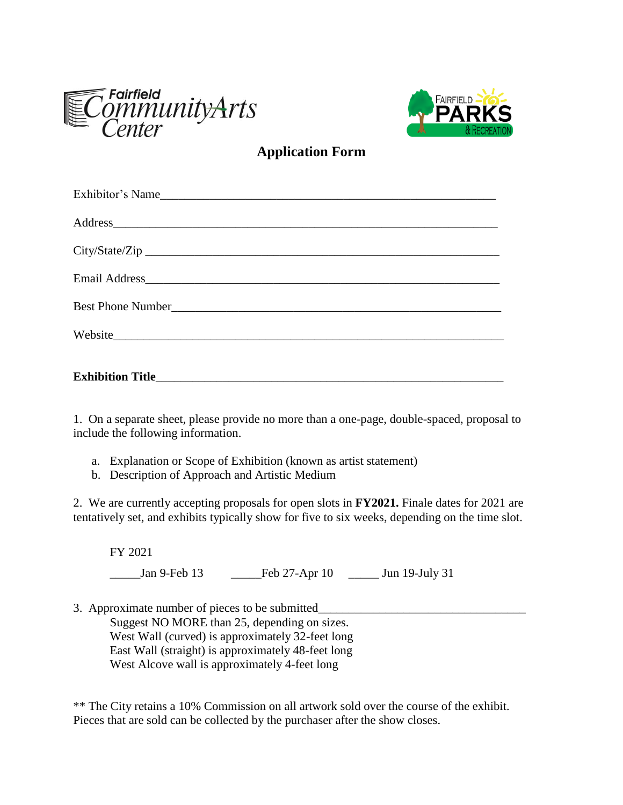



**Application Form**

| Exhibitor's Name        |
|-------------------------|
| Address                 |
|                         |
|                         |
|                         |
| Website                 |
| <b>Exhibition Title</b> |

1. On a separate sheet, please provide no more than a one-page, double-spaced, proposal to include the following information.

- a. Explanation or Scope of Exhibition (known as artist statement)
- b. Description of Approach and Artistic Medium

2. We are currently accepting proposals for open slots in **FY2021.** Finale dates for 2021 are tentatively set, and exhibits typically show for five to six weeks, depending on the time slot.

FY 2021 \_\_\_\_\_Jan 9-Feb 13 \_\_\_\_\_Feb 27-Apr 10 \_\_\_\_\_ Jun 19-July 31

3. Approximate number of pieces to be submitted\_\_\_\_\_\_\_\_\_\_\_\_\_\_\_\_\_\_\_\_\_\_\_\_\_\_\_\_\_\_\_\_\_\_

Suggest NO MORE than 25, depending on sizes. West Wall (curved) is approximately 32-feet long East Wall (straight) is approximately 48-feet long West Alcove wall is approximately 4-feet long

\*\* The City retains a 10% Commission on all artwork sold over the course of the exhibit. Pieces that are sold can be collected by the purchaser after the show closes.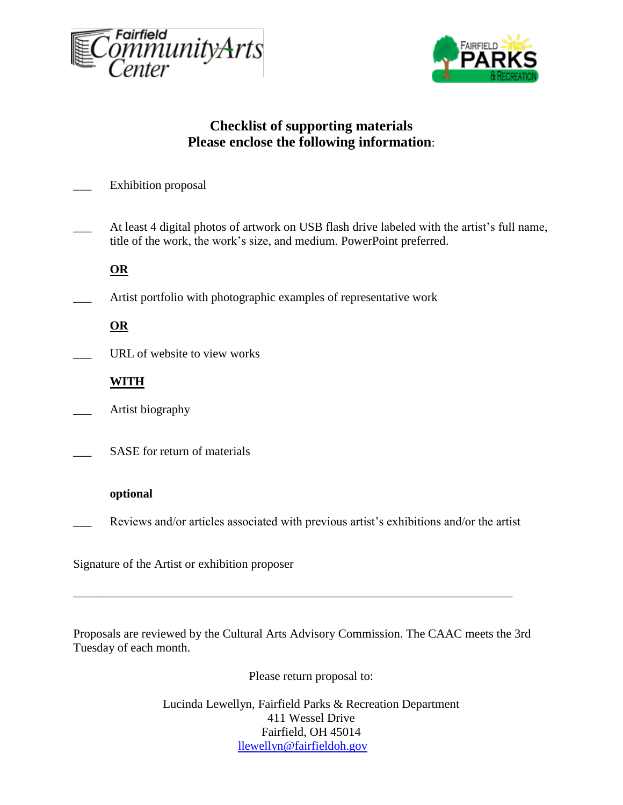



# **Checklist of supporting materials Please enclose the following information**:

| <b>Exhibition</b> proposal |  |
|----------------------------|--|
|----------------------------|--|

At least 4 digital photos of artwork on USB flash drive labeled with the artist's full name, title of the work, the work's size, and medium. PowerPoint preferred.

**OR**

Artist portfolio with photographic examples of representative work

**OR**

URL of website to view works

**WITH**

Artist biography

SASE for return of materials

### **optional**

Reviews and/or articles associated with previous artist's exhibitions and/or the artist

\_\_\_\_\_\_\_\_\_\_\_\_\_\_\_\_\_\_\_\_\_\_\_\_\_\_\_\_\_\_\_\_\_\_\_\_\_\_\_\_\_\_\_\_\_\_\_\_\_\_\_\_\_\_\_\_\_\_\_\_\_\_\_\_\_\_\_\_\_\_\_\_

Signature of the Artist or exhibition proposer

Proposals are reviewed by the Cultural Arts Advisory Commission. The CAAC meets the 3rd Tuesday of each month.

Please return proposal to:

Lucinda Lewellyn, Fairfield Parks & Recreation Department 411 Wessel Drive Fairfield, OH 45014 [llewellyn@fairfieldoh.gov](mailto:llewellyn@fairfieldoh.gov)